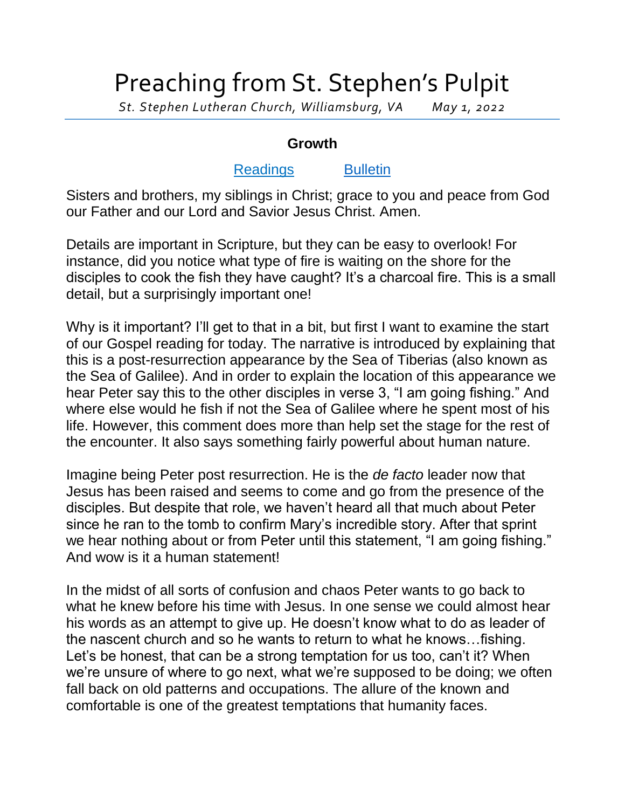## Preaching from St. Stephen's Pulpit

*St. Stephen Lutheran Church, Williamsburg, VA May 1, 2022*

## **Growth**

## [Readings](https://bible.oremus.org/?ql=518153700) [Bulletin](http://www.saintstephenlutheran.net/sunday-bulletins/)

Sisters and brothers, my siblings in Christ; grace to you and peace from God our Father and our Lord and Savior Jesus Christ. Amen.

Details are important in Scripture, but they can be easy to overlook! For instance, did you notice what type of fire is waiting on the shore for the disciples to cook the fish they have caught? It's a charcoal fire. This is a small detail, but a surprisingly important one!

Why is it important? I'll get to that in a bit, but first I want to examine the start of our Gospel reading for today. The narrative is introduced by explaining that this is a post-resurrection appearance by the Sea of Tiberias (also known as the Sea of Galilee). And in order to explain the location of this appearance we hear Peter say this to the other disciples in verse 3, "I am going fishing." And where else would he fish if not the Sea of Galilee where he spent most of his life. However, this comment does more than help set the stage for the rest of the encounter. It also says something fairly powerful about human nature.

Imagine being Peter post resurrection. He is the *de facto* leader now that Jesus has been raised and seems to come and go from the presence of the disciples. But despite that role, we haven't heard all that much about Peter since he ran to the tomb to confirm Mary's incredible story. After that sprint we hear nothing about or from Peter until this statement, "I am going fishing." And wow is it a human statement!

In the midst of all sorts of confusion and chaos Peter wants to go back to what he knew before his time with Jesus. In one sense we could almost hear his words as an attempt to give up. He doesn't know what to do as leader of the nascent church and so he wants to return to what he knows…fishing. Let's be honest, that can be a strong temptation for us too, can't it? When we're unsure of where to go next, what we're supposed to be doing; we often fall back on old patterns and occupations. The allure of the known and comfortable is one of the greatest temptations that humanity faces.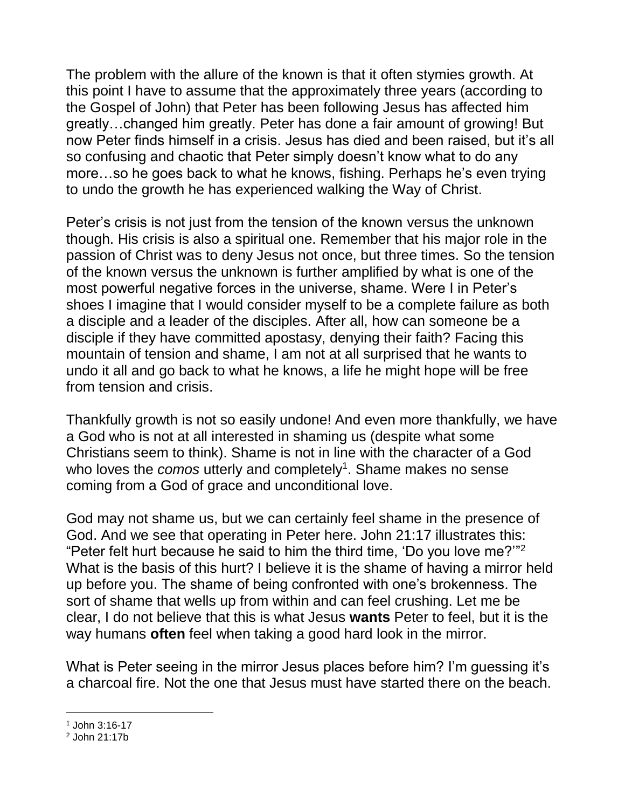The problem with the allure of the known is that it often stymies growth. At this point I have to assume that the approximately three years (according to the Gospel of John) that Peter has been following Jesus has affected him greatly…changed him greatly. Peter has done a fair amount of growing! But now Peter finds himself in a crisis. Jesus has died and been raised, but it's all so confusing and chaotic that Peter simply doesn't know what to do any more…so he goes back to what he knows, fishing. Perhaps he's even trying to undo the growth he has experienced walking the Way of Christ.

Peter's crisis is not just from the tension of the known versus the unknown though. His crisis is also a spiritual one. Remember that his major role in the passion of Christ was to deny Jesus not once, but three times. So the tension of the known versus the unknown is further amplified by what is one of the most powerful negative forces in the universe, shame. Were I in Peter's shoes I imagine that I would consider myself to be a complete failure as both a disciple and a leader of the disciples. After all, how can someone be a disciple if they have committed apostasy, denying their faith? Facing this mountain of tension and shame, I am not at all surprised that he wants to undo it all and go back to what he knows, a life he might hope will be free from tension and crisis.

Thankfully growth is not so easily undone! And even more thankfully, we have a God who is not at all interested in shaming us (despite what some Christians seem to think). Shame is not in line with the character of a God who loves the *comos* utterly and completely<sup>1</sup>. Shame makes no sense coming from a God of grace and unconditional love.

God may not shame us, but we can certainly feel shame in the presence of God. And we see that operating in Peter here. John 21:17 illustrates this: "Peter felt hurt because he said to him the third time, 'Do you love me?'" 2 What is the basis of this hurt? I believe it is the shame of having a mirror held up before you. The shame of being confronted with one's brokenness. The sort of shame that wells up from within and can feel crushing. Let me be clear, I do not believe that this is what Jesus **wants** Peter to feel, but it is the way humans **often** feel when taking a good hard look in the mirror.

What is Peter seeing in the mirror Jesus places before him? I'm guessing it's a charcoal fire. Not the one that Jesus must have started there on the beach.

l <sup>1</sup> John 3:16-17

<sup>2</sup> John 21:17b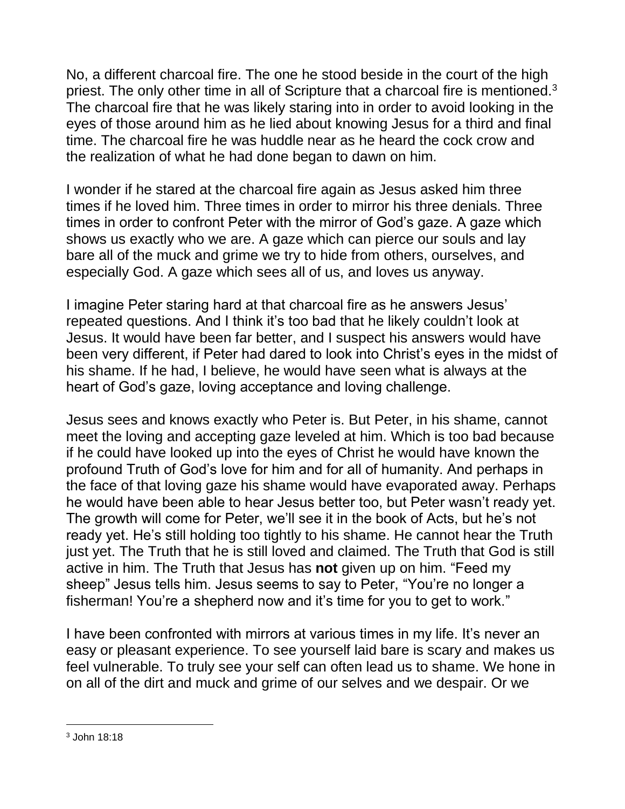No, a different charcoal fire. The one he stood beside in the court of the high priest. The only other time in all of Scripture that a charcoal fire is mentioned.<sup>3</sup> The charcoal fire that he was likely staring into in order to avoid looking in the eyes of those around him as he lied about knowing Jesus for a third and final time. The charcoal fire he was huddle near as he heard the cock crow and the realization of what he had done began to dawn on him.

I wonder if he stared at the charcoal fire again as Jesus asked him three times if he loved him. Three times in order to mirror his three denials. Three times in order to confront Peter with the mirror of God's gaze. A gaze which shows us exactly who we are. A gaze which can pierce our souls and lay bare all of the muck and grime we try to hide from others, ourselves, and especially God. A gaze which sees all of us, and loves us anyway.

I imagine Peter staring hard at that charcoal fire as he answers Jesus' repeated questions. And I think it's too bad that he likely couldn't look at Jesus. It would have been far better, and I suspect his answers would have been very different, if Peter had dared to look into Christ's eyes in the midst of his shame. If he had, I believe, he would have seen what is always at the heart of God's gaze, loving acceptance and loving challenge.

Jesus sees and knows exactly who Peter is. But Peter, in his shame, cannot meet the loving and accepting gaze leveled at him. Which is too bad because if he could have looked up into the eyes of Christ he would have known the profound Truth of God's love for him and for all of humanity. And perhaps in the face of that loving gaze his shame would have evaporated away. Perhaps he would have been able to hear Jesus better too, but Peter wasn't ready yet. The growth will come for Peter, we'll see it in the book of Acts, but he's not ready yet. He's still holding too tightly to his shame. He cannot hear the Truth just yet. The Truth that he is still loved and claimed. The Truth that God is still active in him. The Truth that Jesus has **not** given up on him. "Feed my sheep" Jesus tells him. Jesus seems to say to Peter, "You're no longer a fisherman! You're a shepherd now and it's time for you to get to work."

I have been confronted with mirrors at various times in my life. It's never an easy or pleasant experience. To see yourself laid bare is scary and makes us feel vulnerable. To truly see your self can often lead us to shame. We hone in on all of the dirt and muck and grime of our selves and we despair. Or we

l

<sup>3</sup> John 18:18